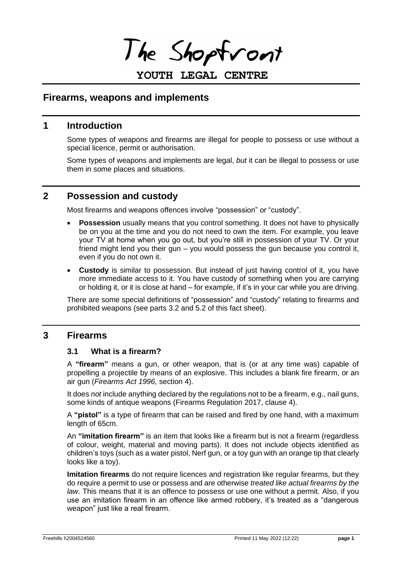I he Shoptront

# **YOUTH LEGAL CENTRE**

## **Firearms, weapons and implements**

## **1 Introduction**

Some types of weapons and firearms are illegal for people to possess or use without a special licence, permit or authorisation.

Some types of weapons and implements are legal, *but* it can be illegal to possess or use them in some places and situations.

## **2 Possession and custody**

Most firearms and weapons offences involve "possession" or "custody".

- **Possession** usually means that you control something. It does not have to physically be on you at the time and you do not need to own the item. For example, you leave your TV at home when you go out, but you're still in possession of your TV. Or your friend might lend you their gun – you would possess the gun because you control it, even if you do not own it.
- **Custody** is similar to possession. But instead of just having control of it, you have more immediate access to it. You have custody of something when you are carrying or holding it, or it is close at hand – for example, if it's in your car while you are driving.

There are some special definitions of "possession" and "custody" relating to firearms and prohibited weapons (see parts 3.2 and 5.2 of this fact sheet).

## **3 Firearms**

#### **3.1 What is a firearm?**

A **"firearm"** means a gun, or other weapon, that is (or at any time was) capable of propelling a projectile by means of an explosive. This includes a blank fire firearm, or an air gun (*Firearms Act 1996,* section 4).

It does *not* include anything declared by the regulations not to be a firearm, e.g., nail guns, some kinds of antique weapons (Firearms Regulation 2017, clause 4).

A **"pistol"** is a type of firearm that can be raised and fired by one hand, with a maximum length of 65cm.

An **"imitation firearm"** is an item that looks like a firearm but is not a firearm (regardless of colour, weight, material and moving parts). It does not include objects identified as children's toys (such as a water pistol, Nerf gun, or a toy gun with an orange tip that clearly looks like a toy).

**Imitation firearms** do not require licences and registration like regular firearms, but they do require a permit to use or possess and are otherwise *treated like actual firearms by the law*. This means that it is an offence to possess or use one without a permit. Also, if you use an imitation firearm in an offence like armed robbery, it's treated as a "dangerous weapon" just like a real firearm.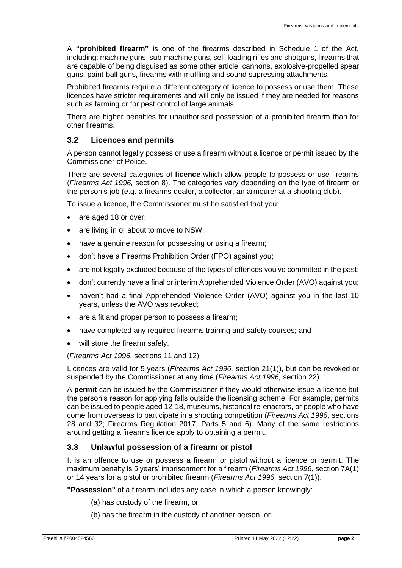A **"prohibited firearm"** is one of the firearms described in Schedule 1 of the Act, including: machine guns, sub-machine guns, self-loading rifles and shotguns, firearms that are capable of being disguised as some other article, cannons, explosive-propelled spear guns, paint-ball guns, firearms with muffling and sound supressing attachments.

Prohibited firearms require a different category of licence to possess or use them. These licences have stricter requirements and will only be issued if they are needed for reasons such as farming or for pest control of large animals.

There are higher penalties for unauthorised possession of a prohibited firearm than for other firearms.

### **3.2 Licences and permits**

A person cannot legally possess or use a firearm without a licence or permit issued by the Commissioner of Police.

There are several categories of **licence** which allow people to possess or use firearms (*Firearms Act 1996,* section 8). The categories vary depending on the type of firearm or the person's job (e.g. a firearms dealer, a collector, an armourer at a shooting club).

To issue a licence, the Commissioner must be satisfied that you:

- are aged 18 or over;
- are living in or about to move to NSW;
- have a genuine reason for possessing or using a firearm;
- don't have a Firearms Prohibition Order (FPO) against you;
- are not legally excluded because of the types of offences you've committed in the past;
- don't currently have a final or interim Apprehended Violence Order (AVO) against you;
- haven't had a final Apprehended Violence Order (AVO) against you in the last 10 years, unless the AVO was revoked;
- are a fit and proper person to possess a firearm;
- have completed any required firearms training and safety courses; and
- will store the firearm safely.

(*Firearms Act 1996,* sections 11 and 12).

Licences are valid for 5 years (*Firearms Act 1996,* section 21(1)), but can be revoked or suspended by the Commissioner at any time (*Firearms Act 1996,* section 22).

A **permit** can be issued by the Commissioner if they would otherwise issue a licence but the person's reason for applying falls outside the licensing scheme. For example, permits can be issued to people aged 12-18, museums, historical re-enactors, or people who have come from overseas to participate in a shooting competition (*Firearms Act 1996*, sections 28 and 32; Firearms Regulation 2017, Parts 5 and 6). Many of the same restrictions around getting a firearms licence apply to obtaining a permit.

### **3.3 Unlawful possession of a firearm or pistol**

It is an offence to use or possess a firearm or pistol without a licence or permit. The maximum penalty is 5 years' imprisonment for a firearm (*Firearms Act 1996,* section 7A(1) or 14 years for a pistol or prohibited firearm (*Firearms Act 1996,* section 7(1)).

**"Possession"** of a firearm includes any case in which a person knowingly:

- (a) has custody of the firearm, or
- (b) has the firearm in the custody of another person, or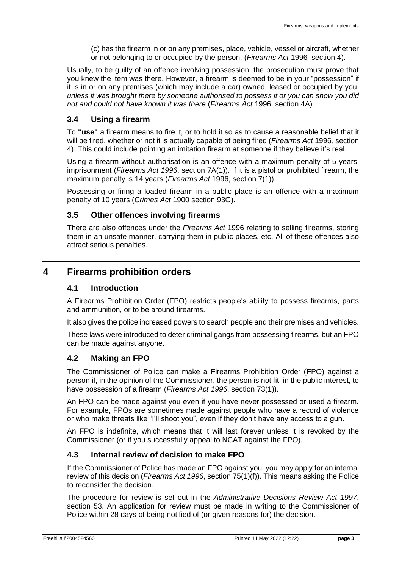(c) has the firearm in or on any premises, place, vehicle, vessel or aircraft, whether or not belonging to or occupied by the person. (*Firearms Act* 1996*,* section 4).

Usually, to be guilty of an offence involving possession, the prosecution must prove that you knew the item was there. However, a firearm is deemed to be in your "possession" if it is in or on any premises (which may include a car) owned, leased or occupied by you, *unless it was brought there by someone authorised to possess it or you can show you did not and could not have known it was there* (*Firearms Act* 1996, section 4A).

### **3.4 Using a firearm**

To **"use"** a firearm means to fire it, or to hold it so as to cause a reasonable belief that it will be fired, whether or not it is actually capable of being fired (*Firearms Act* 1996*,* section 4). This could include pointing an imitation firearm at someone if they believe it's real.

Using a firearm without authorisation is an offence with a maximum penalty of 5 years' imprisonment (*Firearms Act 1996*, section 7A(1)). If it is a pistol or prohibited firearm, the maximum penalty is 14 years (*Firearms Act* 1996, section 7(1)).

Possessing or firing a loaded firearm in a public place is an offence with a maximum penalty of 10 years (*Crimes Act* 1900 section 93G).

### **3.5 Other offences involving firearms**

There are also offences under the *Firearms Act* 1996 relating to selling firearms, storing them in an unsafe manner, carrying them in public places, etc. All of these offences also attract serious penalties.

# <span id="page-2-0"></span>**4 Firearms prohibition orders**

### **4.1 Introduction**

A Firearms Prohibition Order (FPO) restricts people's ability to possess firearms, parts and ammunition, or to be around firearms.

It also gives the police increased powers to search people and their premises and vehicles.

These laws were introduced to deter criminal gangs from possessing firearms, but an FPO can be made against anyone.

### **4.2 Making an FPO**

The Commissioner of Police can make a Firearms Prohibition Order (FPO) against a person if, in the opinion of the Commissioner, the person is not fit, in the public interest, to have possession of a firearm (*Firearms Act 1996*, section 73(1)).

An FPO can be made against you even if you have never possessed or used a firearm. For example, FPOs are sometimes made against people who have a record of violence or who make threats like "I'll shoot you", even if they don't have any access to a gun.

An FPO is indefinite, which means that it will last forever unless it is revoked by the Commissioner (or if you successfully appeal to NCAT against the FPO).

### **4.3 Internal review of decision to make FPO**

If the Commissioner of Police has made an FPO against you, you may apply for an internal review of this decision (*Firearms Act 1996*, section 75(1)(f)). This means asking the Police to reconsider the decision.

The procedure for review is set out in the *Administrative Decisions Review Act 1997*, section 53. An application for review must be made in writing to the Commissioner of Police within 28 days of being notified of (or given reasons for) the decision.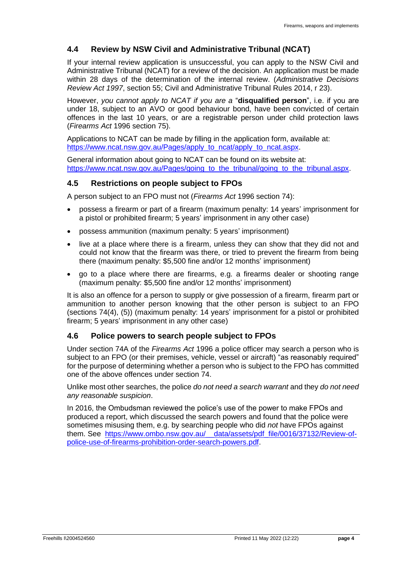### **4.4 Review by NSW Civil and Administrative Tribunal (NCAT)**

If your internal review application is unsuccessful, you can apply to the NSW Civil and Administrative Tribunal (NCAT) for a review of the decision. An application must be made within 28 days of the determination of the internal review. (*Administrative Decisions Review Act 1997*, section 55; Civil and Administrative Tribunal Rules 2014, r 23).

However, *you cannot apply to NCAT if you are a* "**disqualified person**", i.e. if you are under 18, subject to an AVO or good behaviour bond, have been convicted of certain offences in the last 10 years, or are a registrable person under child protection laws (*Firearms Act* 1996 section 75).

Applications to NCAT can be made by filling in the application form, available at: [https://www.ncat.nsw.gov.au/Pages/apply\\_to\\_ncat/apply\\_to\\_ncat.aspx.](https://www.ncat.nsw.gov.au/Pages/apply_to_ncat/apply_to_ncat.aspx)

General information about going to NCAT can be found on its website at: [https://www.ncat.nsw.gov.au/Pages/going\\_to\\_the\\_tribunal/going\\_to\\_the\\_tribunal.aspx.](https://www.ncat.nsw.gov.au/Pages/going_to_the_tribunal/going_to_the_tribunal.aspx)

#### **4.5 Restrictions on people subject to FPOs**

A person subject to an FPO must not (*Firearms Act* 1996 section 74):

- possess a firearm or part of a firearm (maximum penalty: 14 years' imprisonment for a pistol or prohibited firearm; 5 years' imprisonment in any other case)
- possess ammunition (maximum penalty: 5 years' imprisonment)
- live at a place where there is a firearm, unless they can show that they did not and could not know that the firearm was there, or tried to prevent the firearm from being there (maximum penalty: \$5,500 fine and/or 12 months' imprisonment)
- go to a place where there are firearms, e.g. a firearms dealer or shooting range (maximum penalty: \$5,500 fine and/or 12 months' imprisonment)

It is also an offence for a person to supply or give possession of a firearm, firearm part or ammunition to another person knowing that the other person is subject to an FPO (sections 74(4), (5)) (maximum penalty: 14 years' imprisonment for a pistol or prohibited firearm; 5 years' imprisonment in any other case)

#### **4.6 Police powers to search people subject to FPOs**

Under section 74A of the *Firearms Act* 1996 a police officer may search a person who is subject to an FPO (or their premises, vehicle, vessel or aircraft) "as reasonably required" for the purpose of determining whether a person who is subject to the FPO has committed one of the above offences under section 74.

Unlike most other searches, the police *do not need a search warrant* and they *do not need any reasonable suspicion*.

In 2016, the Ombudsman reviewed the police's use of the power to make FPOs and produced a report, which discussed the search powers and found that the police were sometimes misusing them, e.g. by searching people who did *not* have FPOs against them. See [https://www.ombo.nsw.gov.au/\\_\\_data/assets/pdf\\_file/0016/37132/Review-of](https://www.ombo.nsw.gov.au/__data/assets/pdf_file/0016/37132/Review-of-police-use-of-firearms-prohibition-order-search-powers.pdf)[police-use-of-firearms-prohibition-order-search-powers.pdf.](https://www.ombo.nsw.gov.au/__data/assets/pdf_file/0016/37132/Review-of-police-use-of-firearms-prohibition-order-search-powers.pdf)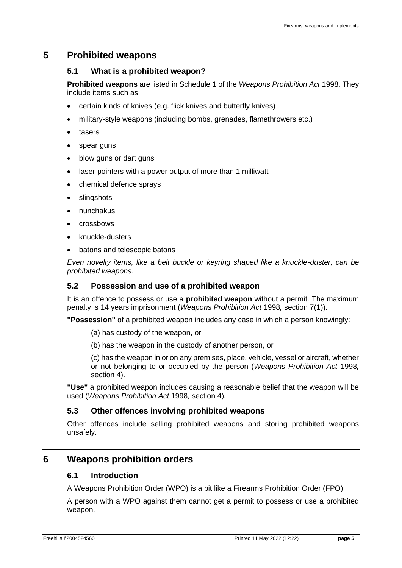## **5 Prohibited weapons**

### **5.1 What is a prohibited weapon?**

**Prohibited weapons** are listed in Schedule 1 of the *Weapons Prohibition Act* 1998. They include items such as:

- certain kinds of knives (e.g. flick knives and butterfly knives)
- military-style weapons (including bombs, grenades, flamethrowers etc.)
- tasers
- spear guns
- blow guns or dart guns
- laser pointers with a power output of more than 1 milliwatt
- chemical defence sprays
- slingshots
- nunchakus
- crossbows
- knuckle-dusters
- batons and telescopic batons

*Even novelty items, like a belt buckle or keyring shaped like a knuckle-duster, can be prohibited weapons.*

### **5.2 Possession and use of a prohibited weapon**

It is an offence to possess or use a **prohibited weapon** without a permit. The maximum penalty is 14 years imprisonment (*Weapons Prohibition Act* 1998*,* section 7(1)).

**"Possession"** of a prohibited weapon includes any case in which a person knowingly:

- (a) has custody of the weapon, or
- (b) has the weapon in the custody of another person, or

(c) has the weapon in or on any premises, place, vehicle, vessel or aircraft, whether or not belonging to or occupied by the person (*Weapons Prohibition Act* 1998*,*  section 4).

**"Use"** a prohibited weapon includes causing a reasonable belief that the weapon will be used (*Weapons Prohibition Act* 1998*,* section 4)*.*

### **5.3 Other offences involving prohibited weapons**

Other offences include selling prohibited weapons and storing prohibited weapons unsafely.

# **6 Weapons prohibition orders**

### **6.1 Introduction**

A Weapons Prohibition Order (WPO) is a bit like a Firearms Prohibition Order (FPO).

A person with a WPO against them cannot get a permit to possess or use a prohibited weapon.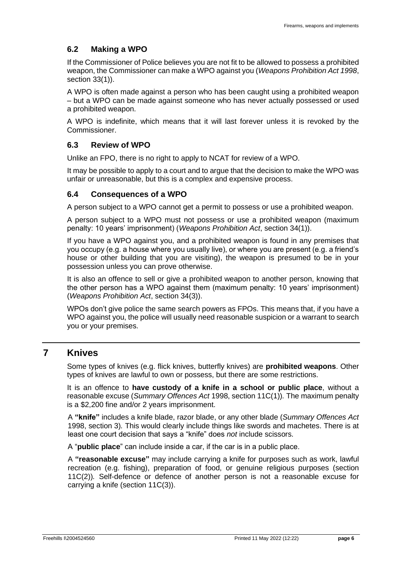### **6.2 Making a WPO**

If the Commissioner of Police believes you are not fit to be allowed to possess a prohibited weapon, the Commissioner can make a WPO against you (*Weapons Prohibition Act 1998*, section 33(1)).

A WPO is often made against a person who has been caught using a prohibited weapon – but a WPO can be made against someone who has never actually possessed or used a prohibited weapon.

A WPO is indefinite, which means that it will last forever unless it is revoked by the Commissioner.

### **6.3 Review of WPO**

Unlike an FPO, there is no right to apply to NCAT for review of a WPO.

It may be possible to apply to a court and to argue that the decision to make the WPO was unfair or unreasonable, but this is a complex and expensive process.

#### **6.4 Consequences of a WPO**

A person subject to a WPO cannot get a permit to possess or use a prohibited weapon.

A person subject to a WPO must not possess or use a prohibited weapon (maximum penalty: 10 years' imprisonment) (*Weapons Prohibition Act*, section 34(1)).

If you have a WPO against you, and a prohibited weapon is found in any premises that you occupy (e.g. a house where you usually live), or where you are present (e.g. a friend's house or other building that you are visiting), the weapon is presumed to be in your possession unless you can prove otherwise.

It is also an offence to sell or give a prohibited weapon to another person, knowing that the other person has a WPO against them (maximum penalty: 10 years' imprisonment) (*Weapons Prohibition Act*, section 34(3)).

WPOs don't give police the same search powers as FPOs. This means that, if you have a WPO against you, the police will usually need reasonable suspicion or a warrant to search you or your premises.

# **7 Knives**

Some types of knives (e.g. flick knives, butterfly knives) are **prohibited weapons**. Other types of knives are lawful to own or possess, but there are some restrictions.

It is an offence to **have custody of a knife in a school or public place**, without a reasonable excuse (*Summary Offences Act* 1998, section 11C(1))*.* The maximum penalty is a \$2,200 fine and/or 2 years imprisonment.

A **"knife"** includes a knife blade, razor blade, or any other blade (*Summary Offences Act* 1998, section 3)*.* This would clearly include things like swords and machetes. There is at least one court decision that says a "knife" does *not* include scissors.

A "**public place**" can include inside a car, if the car is in a public place.

A **"reasonable excuse"** may include carrying a knife for purposes such as work, lawful recreation (e.g. fishing), preparation of food, or genuine religious purposes (section 11C(2))*.* Self-defence or defence of another person is not a reasonable excuse for carrying a knife (section 11C(3)).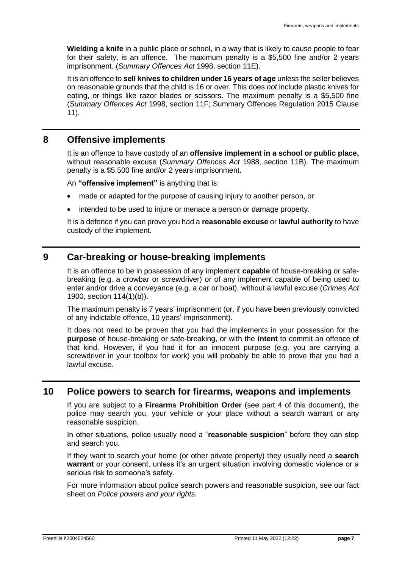**Wielding a knife** in a public place or school, in a way that is likely to cause people to fear for their safety, is an offence. The maximum penalty is a \$5,500 fine and/or 2 years imprisonment. (*Summary Offences Act* 1998, section 11E)*.*

It is an offence to **sell knives to children under 16 years of age** unless the seller believes on reasonable grounds that the child is 16 or over. This does *not* include plastic knives for eating, or things like razor blades or scissors. The maximum penalty is a \$5,500 fine (*Summary Offences Act* 1998, section 11F; Summary Offences Regulation 2015 Clause 11).

# **8 Offensive implements**

It is an offence to have custody of an **offensive implement in a school or public place,**  without reasonable excuse (*Summary Offences Act* 1988, section 11B). The maximum penalty is a \$5,500 fine and/or 2 years imprisonment.

An **"offensive implement"** is anything that is:

- made or adapted for the purpose of causing injury to another person, or
- intended to be used to injure or menace a person or damage property.

It is a defence if you can prove you had a **reasonable excuse** or **lawful authority** to have custody of the implement.

# **9 Car-breaking or house-breaking implements**

It is an offence to be in possession of any implement **capable** of house-breaking or safebreaking (e.g. a crowbar or screwdriver) or of any implement capable of being used to enter and/or drive a conveyance (e.g. a car or boat), without a lawful excuse (*Crimes Act* 1900, section 114(1)(b)).

The maximum penalty is 7 years' imprisonment (or, if you have been previously convicted of any indictable offence, 10 years' imprisonment).

It does not need to be proven that you had the implements in your possession for the **purpose** of house-breaking or safe-breaking, or with the **intent** to commit an offence of that kind. However, if you had it for an innocent purpose (e.g. you are carrying a screwdriver in your toolbox for work) you will probably be able to prove that you had a lawful excuse.

## **10 Police powers to search for firearms, weapons and implements**

If you are subject to a **Firearms Prohibition Order** (see part [4](#page-2-0) of this document), the police may search you, your vehicle or your place without a search warrant or any reasonable suspicion.

In other situations, police usually need a "**reasonable suspicion**" before they can stop and search you.

If they want to search your home (or other private property) they usually need a **search warrant** or your consent, unless it's an urgent situation involving domestic violence or a serious risk to someone's safety.

For more information about police search powers and reasonable suspicion, see our fact sheet on *Police powers and your rights.*